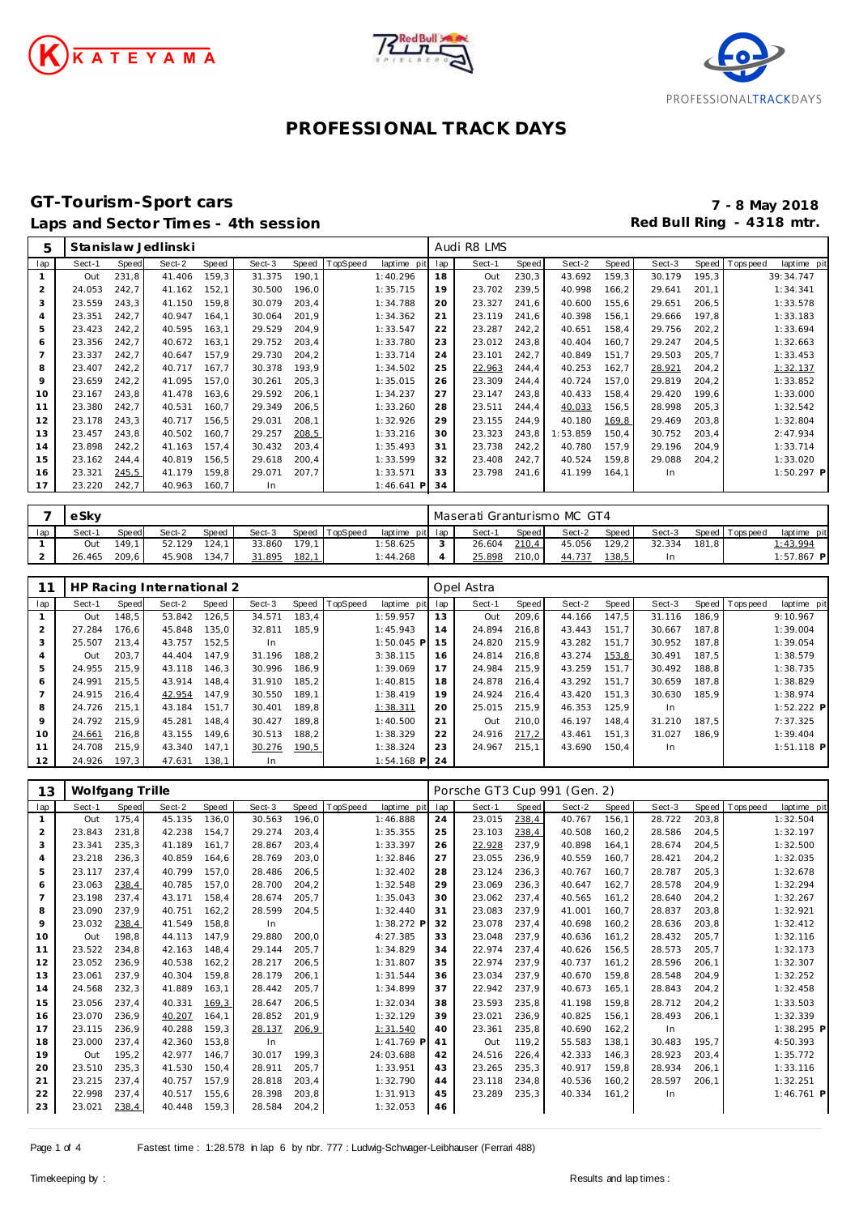





#### **GT-Tourism-Sport cars 7 - 8 May 2018** Laps and Sector Times - 4th session **Red Bull Ring - 4318 mtr. Red Bull Ring - 4318 mtr.**

| 5              |        |       | Stanislaw Jedlinski |       |        |       |          |              |     | Audi R8 LMS |              |          |       |        |       |                                |
|----------------|--------|-------|---------------------|-------|--------|-------|----------|--------------|-----|-------------|--------------|----------|-------|--------|-------|--------------------------------|
| lap            | Sect-1 | Speed | Sect-2              | Speed | Sect-3 | Speed | TopSpeed | laptime pit  | lap | Sect-1      | <b>Speed</b> | Sect-2   | Speed | Sect-3 |       | Speed Tops peed<br>laptime pit |
|                | Out    | 231,8 | 41.406              | 159,3 | 31.375 | 190,1 |          | 1:40.296     | 18  | Out         | 230,3        | 43.692   | 159,3 | 30.179 | 195,3 | 39:34.747                      |
| 2              | 24.053 | 242,7 | 41.162              | 152,1 | 30.500 | 196,0 |          | 1:35.715     | 19  | 23.702      | 239,5        | 40.998   | 166,2 | 29.641 | 201,1 | 1:34.341                       |
| 3              | 23.559 | 243,3 | 41.150              | 159,8 | 30.079 | 203,4 |          | 1:34.788     | 20  | 23.327      | 241,6        | 40.600   | 155,6 | 29.651 | 206,5 | 1:33.578                       |
| $\overline{a}$ | 23.351 | 242,7 | 40.947              | 164,1 | 30.064 | 201,9 |          | 1:34.362     | 21  | 23.119      | 241,6        | 40.398   | 156,1 | 29.666 | 197,8 | 1:33.183                       |
| 5              | 23.423 | 242,2 | 40.595              | 163,1 | 29.529 | 204,9 |          | 1:33.547     | 22  | 23.287      | 242,2        | 40.651   | 158,4 | 29.756 | 202,2 | 1:33.694                       |
| 6              | 23.356 | 242.7 | 40.672              | 163.1 | 29.752 | 203.4 |          | 1:33.780     | 23  | 23.012      | 243.8        | 40.404   | 160.7 | 29.247 | 204,5 | 1:32.663                       |
|                | 23.337 | 242.7 | 40.647              | 157.9 | 29.730 | 204.2 |          | 1:33.714     | 24  | 23.101      | 242.7        | 40.849   | 151.7 | 29.503 | 205,7 | 1:33.453                       |
| 8              | 23.407 | 242,2 | 40.717              | 167.7 | 30.378 | 193,9 |          | 1:34.502     | 25  | 22.963      | 244,4        | 40.253   | 162,7 | 28.921 | 204,2 | 1:32.137                       |
| 9              | 23.659 | 242,2 | 41.095              | 157.0 | 30.261 | 205,3 |          | 1:35.015     | 26  | 23.309      | 244.4        | 40.724   | 157,0 | 29.819 | 204.2 | 1:33.852                       |
| 10             | 23.167 | 243,8 | 41.478              | 163,6 | 29.592 | 206,1 |          | 1:34.237     | 27  | 23.147      | 243,8        | 40.433   | 158,4 | 29.420 | 199.6 | 1:33.000                       |
| 11             | 23.380 | 242,7 | 40.531              | 160,7 | 29.349 | 206,5 |          | 1:33.260     | 28  | 23.511      | 244.4        | 40.033   | 156,5 | 28.998 | 205,3 | 1:32.542                       |
| 12             | 23.178 | 243.3 | 40.717              | 156.5 | 29.031 | 208.1 |          | 1:32.926     | 29  | 23.155      | 244.9        | 40.180   | 169,8 | 29.469 | 203,8 | 1:32.804                       |
| 13             | 23.457 | 243.8 | 40.502              | 160.7 | 29.257 | 208,5 |          | 1:33.216     | 30  | 23.323      | 243.8        | 1:53.859 | 150.4 | 30.752 | 203.4 | 2:47.934                       |
| 14             | 23.898 | 242.2 | 41.163              | 157.4 | 30.432 | 203.4 |          | 1:35.493     | 31  | 23.738      | 242.2        | 40.780   | 157.9 | 29.196 | 204.9 | 1:33.714                       |
| 15             | 23.162 | 244.4 | 40.819              | 156,5 | 29.618 | 200.4 |          | 1:33.599     | 32  | 23.408      | 242,7        | 40.524   | 159.8 | 29.088 | 204,2 | 1:33.020                       |
| 16             | 23.321 | 245,5 | 41.179              | 159,8 | 29.071 | 207.7 |          | 1:33.571     | 33  | 23.798      | 241.6        | 41.199   | 164.1 | In.    |       | $1:50.297$ P                   |
| 17             | 23.220 | 242,7 | 40.963              | 160,7 | In.    |       |          | $1:46.641$ P | 34  |             |              |          |       |        |       |                                |

|     | eSky   |       |        |       |        |       |                |                 |            | Maserati Granturismo MC GT4 |       |        |       |        |       |                 |              |  |
|-----|--------|-------|--------|-------|--------|-------|----------------|-----------------|------------|-----------------------------|-------|--------|-------|--------|-------|-----------------|--------------|--|
| lap | Sect-1 | Speed | Sect-2 | Speed | Sect-3 |       | Speed TopSpeed | laptime pit lap |            | Sect-1                      | Speed | Sect-2 | Speed | Sect-3 |       | Speed Tops peed | laptime pit  |  |
|     | Out    |       | 52.129 | 124.1 | 33.860 | 179.1 |                | :58.625         | $\sqrt{2}$ | 26.604                      | 210,4 | 45.056 | 129.2 | 32.334 | 181.8 |                 | 1:43.994     |  |
|     | 26.465 | 209.6 | 45.908 | 134.7 | 31.895 | 182,1 |                | 1:44.268        |            | 25.898                      | 210,0 | 44.737 | 138,5 |        |       |                 | $1:57.867$ P |  |

|                |        |       | HP Racing International 2 |       |        |       |                |              |     | Opel Astra |       |        |       |           |       |                 |              |
|----------------|--------|-------|---------------------------|-------|--------|-------|----------------|--------------|-----|------------|-------|--------|-------|-----------|-------|-----------------|--------------|
| lap            | Sect-1 | Speed | Sect-2                    | Speed | Sect-3 |       | Speed TopSpeed | laptime pit  | lap | Sect-1     | Speed | Sect-2 | Speed | Sect-3    |       | Speed Tops peed | laptime pit  |
|                | Out    | 148.5 | 53.842                    | 126.5 | 34.571 | 183.4 |                | 1:59.957     | 13  | Out        | 209.6 | 44.166 | 147.5 | 31.116    | 186.9 |                 | 9:10.967     |
| $\overline{2}$ | 27.284 | 176.6 | 45.848                    | 135.0 | 32.811 | 185.9 |                | 1:45.943     | 14  | 24.894     | 216.8 | 43.443 | 151.7 | 30.667    | 187.8 |                 | 1:39.004     |
| 3              | 25.507 | 213.4 | 43.757                    | 152.5 | In.    |       |                | $1:50.045$ P | 15  | 24.820     | 215.9 | 43.282 | 151.7 | 30.952    | 187.8 |                 | 1:39.054     |
| 4              | Out    | 203.7 | 44.404                    | 147.9 | 31.196 | 188.2 |                | 3:38.115     | 16  | 24.814     | 216.8 | 43.274 | 153,8 | 30.491    | 187.5 |                 | 1:38.579     |
| 5              | 24.955 | 215.9 | 43.118                    | 146.3 | 30.996 | 186.9 |                | 1:39.069     | 17  | 24.984     | 215.9 | 43.259 | 151.7 | 30.492    | 188.8 |                 | 1:38.735     |
| 6              | 24.991 | 215,5 | 43.914                    | 148.4 | 31.910 | 185.2 |                | 1:40.815     | 18  | 24.878     | 216.4 | 43.292 | 151.7 | 30.659    | 187.8 |                 | 1:38.829     |
| 7              | 24.915 | 216.4 | 42.954                    | 147.9 | 30.550 | 189.1 |                | 1:38.419     | 19  | 24.924     | 216.4 | 43.420 | 151.3 | 30.630    | 185.9 |                 | 1:38.974     |
| 8              | 24.726 | 215.1 | 43.184                    | 151.7 | 30.401 | 189,8 |                | 1:38.311     | 20  | 25.015     | 215.9 | 46.353 | 125,9 | <b>In</b> |       |                 | 1:52.222 P   |
| 9              | 24.792 | 215.9 | 45.281                    | 148.4 | 30.427 | 189.8 |                | 1:40.500     | 21  | Out        | 210.0 | 46.197 | 148.4 | 31.210    | 187.5 |                 | 7:37.325     |
| 10             | 24.661 | 216,8 | 43.155                    | 149.6 | 30.513 | 188,2 |                | 1:38.329     | 22  | 24.916     | 217,2 | 43.461 | 151,3 | 31.027    | 186.9 |                 | 1:39.404     |
| 11             | 24.708 | 215.9 | 43.340                    | 147.1 | 30.276 | 190,5 |                | 1:38.324     | 23  | 24.967     | 215.1 | 43.690 | 150.4 | In        |       |                 | $1:51.118$ P |
| 12             | 24.926 | 197.3 | 47.631                    | 138.1 | In.    |       |                | $1:54.168$ P | 24  |            |       |        |       |           |       |                 |              |

| 13             | Wolfgang Trille |              |        |        |        |       |          |              |     | Porsche GT3 Cup 991 (Gen. 2) |       |        |        |        |        |            |              |
|----------------|-----------------|--------------|--------|--------|--------|-------|----------|--------------|-----|------------------------------|-------|--------|--------|--------|--------|------------|--------------|
| lap            | Sect-1          | <b>Speed</b> | Sect-2 | Speed  | Sect-3 | Speed | TopSpeed | laptime pit  | lap | Sect-1                       | Speed | Sect-2 | Speed  | Sect-3 | Speed  | T ops peed | laptime pit  |
| $\mathbf{1}$   | Out             | 175,4        | 45.135 | 136,0  | 30.563 | 196,0 |          | 1:46.888     | 24  | 23.015                       | 238,4 | 40.767 | 156,1  | 28.722 | 203,8  |            | 1:32.504     |
| 2              | 23.843          | 231,8        | 42.238 | 154,7  | 29.274 | 203,4 |          | 1:35.355     | 25  | 23.103                       | 238,4 | 40.508 | 160,2  | 28.586 | 204,5  |            | 1:32.197     |
| 3              | 23.341          | 235,3        | 41.189 | 161.7  | 28.867 | 203,4 |          | 1:33.397     | 26  | 22.928                       | 237.9 | 40.898 | 164.1  | 28.674 | 204,5  |            | 1:32.500     |
| 4              | 23.218          | 236,3        | 40.859 | 164,6  | 28.769 | 203,0 |          | 1:32.846     | 27  | 23.055                       | 236,9 | 40.559 | 160,7  | 28.421 | 204,2  |            | 1:32.035     |
| 5              | 23.117          | 237,4        | 40.799 | 157.0  | 28.486 | 206,5 |          | 1:32.402     | 28  | 23.124                       | 236,3 | 40.767 | 160.7  | 28.787 | 205, 3 |            | 1:32.678     |
| 6              | 23.063          | 238,4        | 40.785 | 157,0  | 28.700 | 204,2 |          | 1:32.548     | 29  | 23.069                       | 236,3 | 40.647 | 162,7  | 28.578 | 204,9  |            | 1:32.294     |
| $\overline{7}$ | 23.198          | 237,4        | 43.171 | 158,4  | 28.674 | 205.7 |          | 1:35.043     | 30  | 23.062                       | 237.4 | 40.565 | 161,2  | 28.640 | 204,2  |            | 1:32.267     |
| 8              | 23.090          | 237.9        | 40.751 | 162,2  | 28.599 | 204,5 |          | 1:32.440     | 31  | 23.083                       | 237.9 | 41.001 | 160.7  | 28.837 | 203,8  |            | 1:32.921     |
| 9              | 23.032          | 238,4        | 41.549 | 158,8  | In     |       |          | 1:38.272 P   | 32  | 23.078                       | 237.4 | 40.698 | 160,2  | 28.636 | 203,8  |            | 1:32.412     |
| 10             | Out             | 198.8        | 44.113 | 147.9  | 29.880 | 200.0 |          | 4:27.385     | 33  | 23.048                       | 237.9 | 40.636 | 161,2  | 28.432 | 205,7  |            | 1:32.116     |
| 11             | 23.522          | 234.8        | 42.163 | 148.4  | 29.144 | 205.7 |          | 1:34.829     | 34  | 22.974                       | 237.4 | 40.626 | 156,5  | 28.573 | 205.7  |            | 1:32.173     |
| 12             | 23.052          | 236,9        | 40.538 | 162, 2 | 28.217 | 206,5 |          | 1:31.807     | 35  | 22.974                       | 237,9 | 40.737 | 161,2  | 28.596 | 206,1  |            | 1:32.307     |
| 13             | 23.061          | 237,9        | 40.304 | 159,8  | 28.179 | 206,1 |          | 1:31.544     | 36  | 23.034                       | 237.9 | 40.670 | 159,8  | 28.548 | 204,9  |            | 1:32.252     |
| 14             | 24.568          | 232,3        | 41.889 | 163,1  | 28.442 | 205,7 |          | 1:34.899     | 37  | 22.942                       | 237.9 | 40.673 | 165.1  | 28.843 | 204,2  |            | 1:32.458     |
| 15             | 23.056          | 237,4        | 40.331 | 169,3  | 28.647 | 206,5 |          | 1:32.034     | 38  | 23.593                       | 235.8 | 41.198 | 159.8  | 28.712 | 204,2  |            | 1:33.503     |
| 16             | 23.070          | 236,9        | 40.207 | 164.1  | 28.852 | 201,9 |          | 1:32.129     | 39  | 23.021                       | 236,9 | 40.825 | 156,1  | 28.493 | 206,1  |            | 1:32.339     |
| 17             | 23.115          | 236,9        | 40.288 | 159,3  | 28.137 | 206,9 |          | 1:31.540     | 40  | 23.361                       | 235,8 | 40.690 | 162,2  | In     |        |            | $1:38.295$ P |
| 18             | 23.000          | 237,4        | 42.360 | 153.8  | In     |       |          | $1:41.769$ P | 41  | Out                          | 119.2 | 55.583 | 138.1  | 30.483 | 195.7  |            | 4:50.393     |
| 19             | Out             | 195,2        | 42.977 | 146,7  | 30.017 | 199.3 |          | 24:03.688    | 42  | 24.516                       | 226,4 | 42.333 | 146,3  | 28.923 | 203,4  |            | 1:35.772     |
| 20             | 23.510          | 235,3        | 41.530 | 150,4  | 28.911 | 205,7 |          | 1:33.951     | 43  | 23.265                       | 235,3 | 40.917 | 159,8  | 28.934 | 206,1  |            | 1:33.116     |
| 21             | 23.215          | 237,4        | 40.757 | 157,9  | 28.818 | 203,4 |          | 1:32.790     | 44  | 23.118                       | 234,8 | 40.536 | 160, 2 | 28.597 | 206,1  |            | 1:32.251     |
| 22             | 22.998          | 237.4        | 40.517 | 155.6  | 28.398 | 203,8 |          | 1:31.913     | 45  | 23.289                       | 235,3 | 40.334 | 161.2  | In     |        |            | $1:46.761$ P |
| 23             | 23.021          | 238,4        | 40.448 | 159,3  | 28.584 | 204,2 |          | 1:32.053     | 46  |                              |       |        |        |        |        |            |              |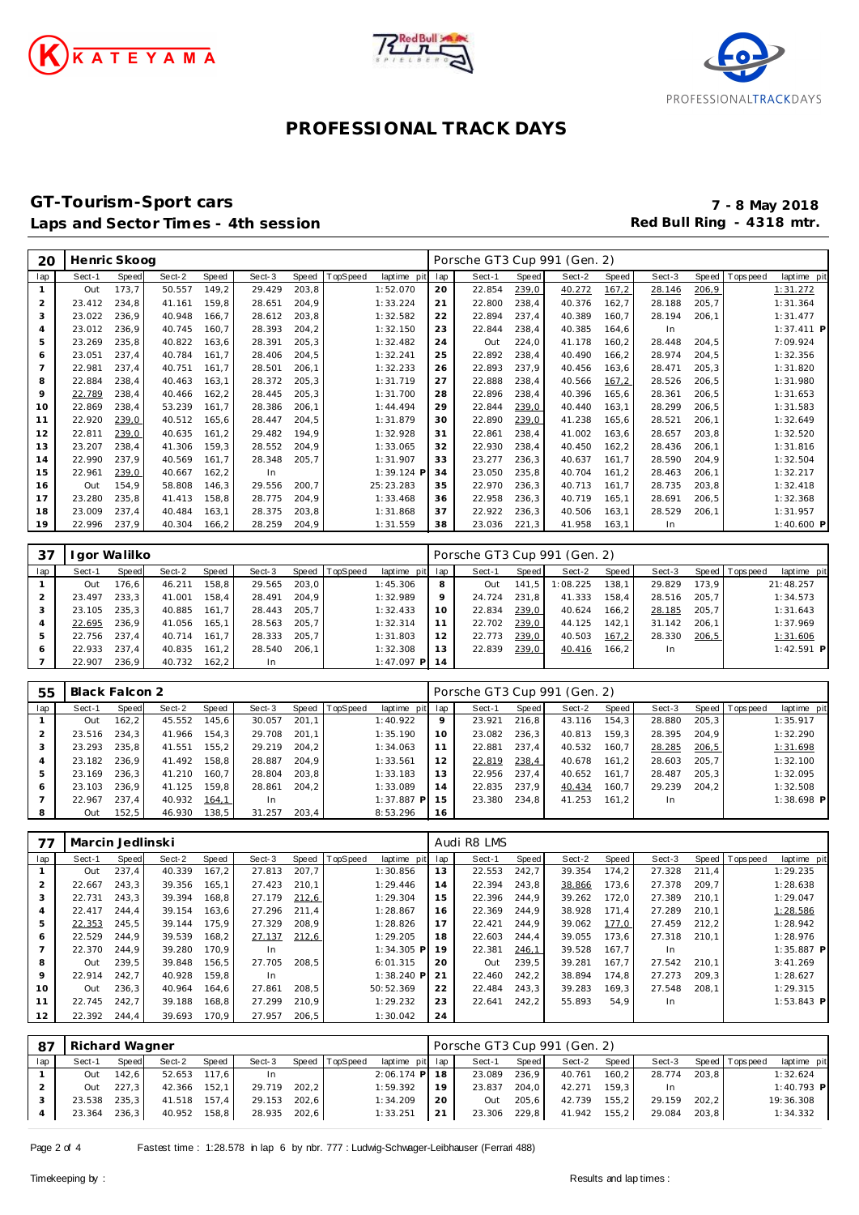





#### **GT-Tourism-Sport cars 7 - 8 May 2018** Laps and Sector Times - 4th session

| 20             | Henric Skoog |       |        |              |        |       |          |              |     | Porsche GT3 Cup 991 (Gen. 2) |       |        |       |        |       |          |              |
|----------------|--------------|-------|--------|--------------|--------|-------|----------|--------------|-----|------------------------------|-------|--------|-------|--------|-------|----------|--------------|
| lap            | Sect-1       | Speed | Sect-2 | <b>Speed</b> | Sect-3 | Speed | TopSpeed | laptime pit  | lap | Sect-1                       | Speed | Sect-2 | Speed | Sect-3 | Speed | Topspeed | laptime pit  |
| $\mathbf{1}$   | Out          | 173,7 | 50.557 | 149,2        | 29.429 | 203,8 |          | 1:52.070     | 20  | 22.854                       | 239,0 | 40.272 | 167,2 | 28.146 | 206,9 |          | 1:31.272     |
| 2              | 23.412       | 234,8 | 41.161 | 159,8        | 28.651 | 204,9 |          | 1:33.224     | 21  | 22.800                       | 238,4 | 40.376 | 162,7 | 28.188 | 205,7 |          | 1:31.364     |
| 3              | 23.022       | 236,9 | 40.948 | 166,7        | 28.612 | 203,8 |          | 1:32.582     | 22  | 22.894                       | 237,4 | 40.389 | 160,7 | 28.194 | 206,1 |          | 1:31.477     |
| $\overline{4}$ | 23.012       | 236,9 | 40.745 | 160.7        | 28.393 | 204,2 |          | 1:32.150     | 23  | 22.844                       | 238,4 | 40.385 | 164,6 | In     |       |          | $1:37.411$ P |
| 5              | 23.269       | 235,8 | 40.822 | 163.6        | 28.391 | 205,3 |          | 1:32.482     | 24  | Out                          | 224,0 | 41.178 | 160,2 | 28.448 | 204,5 |          | 7:09.924     |
| 6              | 23.051       | 237,4 | 40.784 | 161,7        | 28.406 | 204,5 |          | 1:32.241     | 25  | 22.892                       | 238,4 | 40.490 | 166,2 | 28.974 | 204,5 |          | 1:32.356     |
|                | 22.981       | 237,4 | 40.751 | 161.7        | 28.501 | 206,1 |          | 1:32.233     | 26  | 22.893                       | 237,9 | 40.456 | 163,6 | 28.471 | 205,3 |          | 1:31.820     |
| 8              | 22.884       | 238,4 | 40.463 | 163,1        | 28.372 | 205,3 |          | 1:31.719     | 27  | 22.888                       | 238,4 | 40.566 | 167,2 | 28.526 | 206,5 |          | 1:31.980     |
| 9              | 22.789       | 238,4 | 40.466 | 162,2        | 28.445 | 205,3 |          | 1:31.700     | 28  | 22.896                       | 238,4 | 40.396 | 165,6 | 28.361 | 206,5 |          | 1:31.653     |
| 10             | 22.869       | 238,4 | 53.239 | 161,7        | 28.386 | 206,1 |          | 1:44.494     | 29  | 22.844                       | 239,0 | 40.440 | 163.1 | 28.299 | 206,5 |          | 1:31.583     |
| 11             | 22.920       | 239,0 | 40.512 | 165,6        | 28.447 | 204,5 |          | 1:31.879     | 30  | 22.890                       | 239,0 | 41.238 | 165,6 | 28.521 | 206,1 |          | 1:32.649     |
| 12             | 22.811       | 239,0 | 40.635 | 161,2        | 29.482 | 194,9 |          | 1:32.928     | 31  | 22.861                       | 238,4 | 41.002 | 163,6 | 28.657 | 203,8 |          | 1:32.520     |
| 13             | 23.207       | 238.4 | 41.306 | 159,3        | 28.552 | 204,9 |          | 1:33.065     | 32  | 22.930                       | 238,4 | 40.450 | 162,2 | 28.436 | 206,1 |          | 1:31.816     |
| 14             | 22.990       | 237,9 | 40.569 | 161,7        | 28.348 | 205,7 |          | 1:31.907     | 33  | 23.277                       | 236,3 | 40.637 | 161,7 | 28.590 | 204,9 |          | 1:32.504     |
| 15             | 22.961       | 239,0 | 40.667 | 162,2        | In.    |       |          | $1:39.124$ F | 34  | 23.050                       | 235,8 | 40.704 | 161,2 | 28.463 | 206,1 |          | 1:32.217     |
| 16             | Out          | 154,9 | 58.808 | 146,3        | 29.556 | 200,7 |          | 25:23.283    | 35  | 22.970                       | 236,3 | 40.713 | 161.7 | 28.735 | 203,8 |          | 1:32.418     |
| 17             | 23.280       | 235,8 | 41.413 | 158,8        | 28.775 | 204,9 |          | 1:33.468     | 36  | 22.958                       | 236,3 | 40.719 | 165.1 | 28.691 | 206,5 |          | 1:32.368     |
| 18             | 23.009       | 237,4 | 40.484 | 163,1        | 28.375 | 203,8 |          | 1:31.868     | 37  | 22.922                       | 236,3 | 40.506 | 163,1 | 28.529 | 206,1 |          | 1:31.957     |
| 19             | 22.996       | 237.9 | 40.304 | 166,2        | 28.259 | 204,9 |          | 1:31.559     | 38  | 23.036                       | 221,3 | 41.958 | 163.1 | In     |       |          | 1:40.600 P   |

| 37  |        | gor Walilko |        |       |        |       |          |                 |    | Porsche GT3 Cup 991 (Gen. 2) |       |          |       |           |       |                                  |
|-----|--------|-------------|--------|-------|--------|-------|----------|-----------------|----|------------------------------|-------|----------|-------|-----------|-------|----------------------------------|
| lap | Sect-1 | Speed       | Sect-2 | Speed | Sect-3 | Speed | TopSpeed | laptime pit lap |    | Sect-1                       | Speed | Sect-2   | Speed | Sect-3    |       | Speed   Tops peed<br>laptime pit |
|     | Out    | 176.6       | 46.211 | 158.8 | 29.565 | 203.0 |          | 1:45.306        | 8  | Out                          | 141.5 | 1:08.225 | 138.1 | 29.829    | 173.9 | 21:48.257                        |
|     | 23.497 | 233.3       | 41.001 | 158.4 | 28.491 | 204.9 |          | 1:32.989        |    | 24.724                       | 231.8 | 41.333   | 158.4 | 28.516    | 205.7 | 1:34.573                         |
|     | 23.105 | 235.3       | 40.885 | 161.7 | 28.443 | 205.7 |          | 1:32.433        |    | 22.834                       | 239,0 | 40.624   | 166.2 | 28.185    | 205.7 | 1:31.643                         |
|     | 22.695 | 236.9       | 41.056 | 165.1 | 28.563 | 205.7 |          | 1:32.314        |    | 22.702                       | 239,0 | 44.125   | 142.1 | 31.142    | 206.1 | 1:37.969                         |
|     | 22.756 | 237.4       | 40.714 | 161.7 | 28.333 | 205.7 |          | 1:31.803        | 12 | 22.773                       | 239,0 | 40.503   | 167,2 | 28.330    | 206,5 | 1:31.606                         |
|     | 22.933 | 237.4       | 40.835 | 161.2 | 28.540 | 206.1 |          | 1:32.308        | 13 | 22.839                       | 239,0 | 40.416   | 166.2 | <b>In</b> |       | $1:42.591$ P                     |
|     | 22.907 | 236.9       | 40.732 | 162.2 | In     |       |          | 1:47.097 PI     | 14 |                              |       |          |       |           |       |                                  |

| 55  | Black Falcon 2 |       |        |       |           |       |                |                 |    | Porsche GT3 Cup 991 (Gen. 2) |       |        |       |        |       |                   |              |
|-----|----------------|-------|--------|-------|-----------|-------|----------------|-----------------|----|------------------------------|-------|--------|-------|--------|-------|-------------------|--------------|
| lap | Sect-1         | Speed | Sect-2 | Speed | Sect-3    |       | Speed TopSpeed | laptime pit lap |    | Sect-1                       | Speed | Sect-2 | Speed | Sect-3 |       | Speed   Tops peed | laptime pit  |
|     | Out            | 162.2 | 45.552 | 145.6 | 30.057    | 201.1 |                | 1:40.922        | 9  | 23.921                       | 216.8 | 43.116 | 154.3 | 28.880 | 205.3 |                   | 1:35.917     |
|     | 23.516         | 234.3 | 41.966 | 154.3 | 29.708    | 201.1 |                | 1:35.190        | 10 | 23.082                       | 236.3 | 40.813 | 159.3 | 28.395 | 204.9 |                   | 1:32.290     |
|     | 23.293         | 235.8 | 41.551 | 155.2 | 29.219    | 204.2 |                | 1:34.063        | 11 | 22.881                       | 237.4 | 40.532 | 160.7 | 28.285 | 206,5 |                   | 1:31.698     |
|     | 23.182         | 236.9 | 41.492 | 158.8 | 28.887    | 204.9 |                | 1:33.561        | 12 | 22.819                       | 238,4 | 40.678 | 161.2 | 28.603 | 205.7 |                   | 1:32.100     |
|     | 23.169         | 236.3 | 41.210 | 160.7 | 28.804    | 203.8 |                | 1:33.183        | 13 | 22.956                       | 237.4 | 40.652 | 161.7 | 28.487 | 205.3 |                   | 1:32.095     |
| 6   | 23.103         | 236.9 | 41.125 | 159.8 | 28.861    | 204.2 |                | 1:33.089        | 14 | 22.835                       | 237.9 | 40.434 | 160.7 | 29.239 | 204.2 |                   | 1:32.508     |
|     | 22.967         | 237.4 | 40.932 | 164,1 | <b>In</b> |       |                | $1:37.887$ P    | 15 | 23.380                       | 234.8 | 41.253 | 161.2 | In.    |       |                   | $1:38.698$ P |
|     | Out            | 152.5 | 46.930 | 138,5 | 31.257    | 203.4 |                | 8:53.296        | 16 |                              |       |        |       |        |       |                   |              |

| 77  | Marcin Jedlinski |       |        |       |        |       |          |              |     | Audi R8 LMS |       |        |       |        |       |                |              |
|-----|------------------|-------|--------|-------|--------|-------|----------|--------------|-----|-------------|-------|--------|-------|--------|-------|----------------|--------------|
| lap | Sect-1           | Speed | Sect-2 | Speed | Sect-3 | Speed | TopSpeed | laptime pit  | lap | Sect-1      | Speed | Sect-2 | Speed | Sect-3 |       | Speed Topspeed | laptime pit  |
|     | Out              | 237.4 | 40.339 | 167.2 | 27.813 | 207,7 |          | 1:30.856     | 13  | 22.553      | 242,7 | 39.354 | 174.2 | 27.328 | 211.4 |                | 1:29.235     |
|     | 22.667           | 243.3 | 39.356 | 165.1 | 27.423 | 210.1 |          | 1:29.446     | 14  | 22.394      | 243.8 | 38.866 | 173,6 | 27.378 | 209.7 |                | 1:28.638     |
|     | 22.731           | 243.3 | 39.394 | 168.8 | 27.179 | 212,6 |          | 1:29.304     | 15  | 22.396      | 244.9 | 39.262 | 172.0 | 27.389 | 210.1 |                | 1:29.047     |
|     | 22.417           | 244.4 | 39.154 | 163,6 | 27.296 | 211.4 |          | 1:28.867     | 16  | 22.369      | 244.9 | 38.928 | 171.4 | 27.289 | 210.1 |                | 1:28.586     |
| 5   | 22.353           | 245,5 | 39.144 | 175.9 | 27.329 | 208.9 |          | 1:28.826     | 17  | 22.421      | 244.9 | 39.062 | 177,0 | 27.459 | 212,2 |                | 1:28.942     |
| 6   | 22.529           | 244.9 | 39.539 | 168,2 | 27.137 | 212,6 |          | 1:29.205     | 18  | 22.603      | 244.4 | 39.055 | 173.6 | 27.318 | 210.1 |                | 1:28.976     |
|     | 22.370           | 244.9 | 39.280 | 170.9 | In     |       |          | $1:34.305$ P | 19  | 22.381      | 246,1 | 39.528 | 167.7 | In     |       |                | $1:35.887$ P |
| 8   | Out              | 239.5 | 39.848 | 156,5 | 27.705 | 208,5 |          | 6:01.315     | 20  | Out         | 239,5 | 39.281 | 167.7 | 27.542 | 210.1 |                | 3:41.269     |
| 9   | 22.914           | 242.7 | 40.928 | 159.8 | In     |       |          | $1:38.240$ P | 21  | 22.460      | 242.2 | 38.894 | 174.8 | 27.273 | 209.3 |                | 1:28.627     |
| 10  | Out              | 236,3 | 40.964 | 164.6 | 27.861 | 208.5 |          | 50:52.369    | 22  | 22.484      | 243,3 | 39.283 | 169,3 | 27.548 | 208.1 |                | 1:29.315     |
| 11  | 22.745           | 242,7 | 39.188 | 168,8 | 27.299 | 210.9 |          | 1:29.232     | 23  | 22.641      | 242,2 | 55.893 | 54.9  | In     |       |                | $1:53.843$ P |
| 12  | 22.392           | 244.4 | 39.693 | 170.9 | 27.957 | 206,5 |          | 1:30.042     | 24  |             |       |        |       |        |       |                |              |

| -87 | Richard Wagner |              |              |       |        |       |                |                 |    | Porsche GT3 Cup 991 (Gen. 2) |       |        |       |        |       |                   |             |
|-----|----------------|--------------|--------------|-------|--------|-------|----------------|-----------------|----|------------------------------|-------|--------|-------|--------|-------|-------------------|-------------|
| lap | Sect-1         | Speed        | Sect-2       | Speed | Sect-3 |       | Speed TopSpeed | laptime pit lap |    | Sect-1                       | Speed | Sect-2 | Speed | Sect-3 |       | Speed   Tops peed | laptime pit |
|     | Out            | 142.6        | 52.653 117,6 |       | In.    |       |                | $2:06.174$ P 18 |    | 23.089                       | 236,9 | 40.761 | 160.2 | 28.774 | 203.8 |                   | 1:32.624    |
|     | Out            | 227,3        | 42.366 152.1 |       | 29.719 | 202.2 |                | 1:59.392        | 19 | 23.837                       | 204,0 | 42.271 | 159.3 |        |       |                   | 1:40.793 P  |
|     |                | 23.538 235,3 | 41.518 157,4 |       | 29.153 | 202.6 |                | 1:34.209        | 20 | Out                          | 205,6 | 42.739 | 155.2 | 29.159 | 202.2 |                   | 19:36.308   |
|     | 23.364         | 236,3        | 40.952 158,8 |       | 28.935 | 202,6 |                | 1:33.251        | 21 | 23.306 229,8                 |       | 41.942 | 155.2 | 29.084 | 203.8 |                   | 1:34.332    |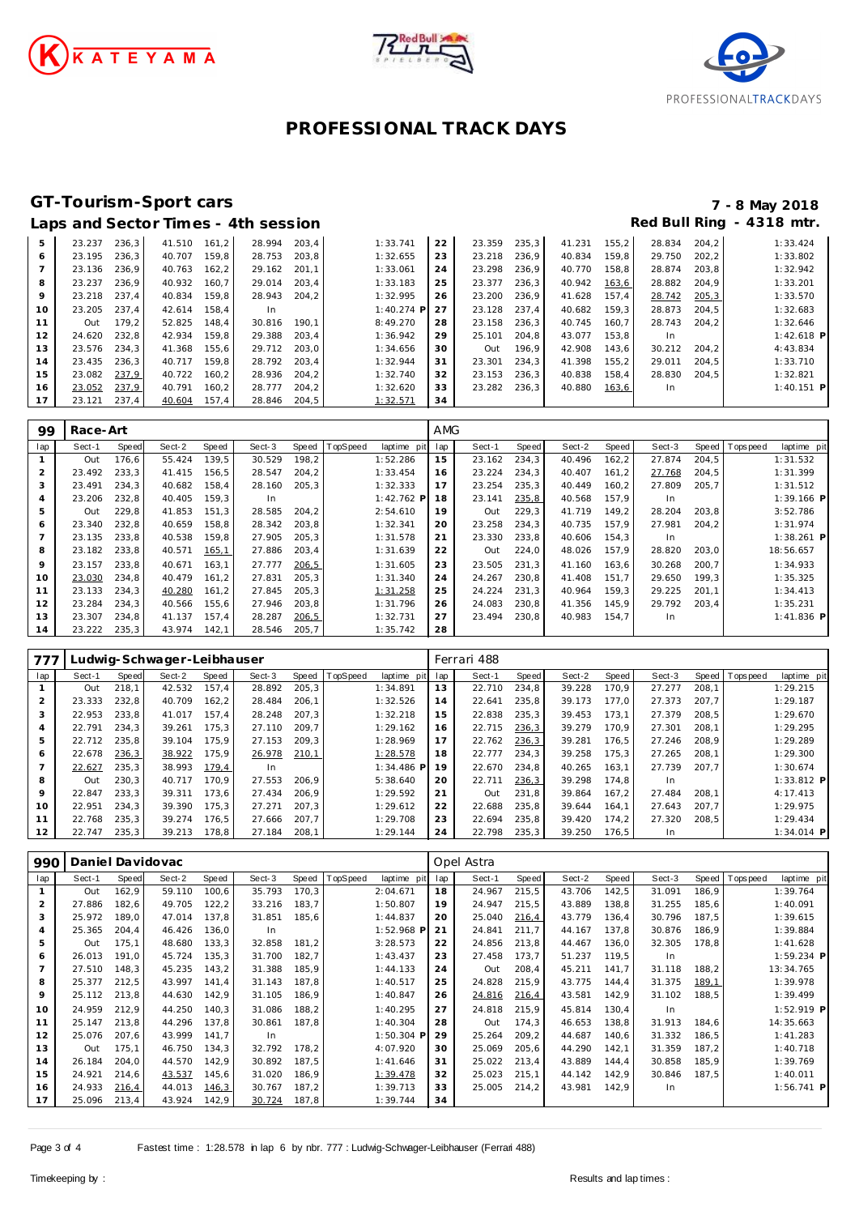





## **Laps and Sector Times - 4th session**

# **GT-Tourism-Sport cars 7 - 8 May 2018**

|    |        |       |              |       | Laps and Scoton innes - Fun Scoolon |       |              |    |        |       |        |       |           |       | .            |
|----|--------|-------|--------------|-------|-------------------------------------|-------|--------------|----|--------|-------|--------|-------|-----------|-------|--------------|
| 5  | 23.237 | 236.3 | 41.510 161.2 |       | 28.994                              | 203.4 | 1:33.741     | 22 | 23.359 | 235,3 | 41.231 | 155.2 | 28.834    | 204.2 | 1:33.424     |
| 6  | 23.195 | 236.3 | 40.707       | 159.8 | 28.753                              | 203.8 | 1:32.655     | 23 | 23.218 | 236.9 | 40.834 | 159.8 | 29.750    | 202.2 | 1:33.802     |
|    | 23.136 | 236,9 | 40.763       | 162,2 | 29.162                              | 201.1 | 1:33.061     | 24 | 23.298 | 236,9 | 40.770 | 158,8 | 28.874    | 203,8 | 1:32.942     |
| 8  | 23.237 | 236.9 | 40.932       | 160.7 | 29.014                              | 203.4 | 1:33.183     | 25 | 23.377 | 236.3 | 40.942 | 163,6 | 28.882    | 204.9 | 1:33.201     |
| 9  | 23.218 | 237.4 | 40.834       | 159.8 | 28.943                              | 204.2 | 1:32.995     | 26 | 23.200 | 236.9 | 41.628 | 157.4 | 28.742    | 205,3 | 1:33.570     |
| 10 | 23.205 | 237.4 | 42.614       | 158.4 | In                                  |       | $1:40.274$ P | 27 | 23.128 | 237.4 | 40.682 | 159.3 | 28.873    | 204.5 | 1:32.683     |
| 11 | Out    | 179.2 | 52.825       | 148.4 | 30.816                              | 190.1 | 8:49.270     | 28 | 23.158 | 236.3 | 40.745 | 160.7 | 28.743    | 204.2 | 1:32.646     |
| 12 | 24.620 | 232,8 | 42.934       | 159.8 | 29.388                              | 203.4 | 1:36.942     | 29 | 25.101 | 204.8 | 43.077 | 153.8 | In        |       | $1:42.618$ P |
| 13 | 23.576 | 234.3 | 41.368       | 155.6 | 29.712                              | 203.0 | 1:34.656     | 30 | Out    | 196.9 | 42.908 | 143.6 | 30.212    | 204.2 | 4:43.834     |
| 14 | 23.435 | 236.3 | 40.717       | 159.8 | 28.792 203.4                        |       | 1:32.944     | 31 | 23.301 | 234.3 | 41.398 | 155.2 | 29.011    | 204.5 | 1:33.710     |
| 15 | 23.082 | 237,9 | 40.722       | 160.2 | 28.936                              | 204.2 | 1:32.740     | 32 | 23.153 | 236.3 | 40.838 | 158,4 | 28.830    | 204.5 | 1:32.821     |
| 16 | 23.052 | 237.9 | 40.791       | 160.2 | 28.777                              | 204.2 | 1:32.620     | 33 | 23.282 | 236.3 | 40.880 | 163,6 | <b>In</b> |       | $1:40.151$ P |
| 17 | 23.121 | 237,4 | 40.604       | 157,4 | 28.846                              | 204.5 | 1:32.571     | 34 |        |       |        |       |           |       |              |

| 99             | Race-Art |       |        |       |        |       |                |              | <b>AMG</b> |        |       |        |        |        |       |                |              |
|----------------|----------|-------|--------|-------|--------|-------|----------------|--------------|------------|--------|-------|--------|--------|--------|-------|----------------|--------------|
| lap            | Sect-1   | Speed | Sect-2 | Speed | Sect-3 |       | Speed TopSpeed | laptime pit  | lap        | Sect-1 | Speed | Sect-2 | Speed  | Sect-3 |       | Speed Topspeed | laptime pit  |
|                | Out      | 176.6 | 55.424 | 139.5 | 30.529 | 198,2 |                | 1:52.286     | 15         | 23.162 | 234.3 | 40.496 | 162, 2 | 27.874 | 204.5 |                | 1:31.532     |
| $\overline{a}$ | 23.492   | 233.3 | 41.415 | 156.5 | 28.547 | 204,2 |                | 1:33.454     | 16         | 23.224 | 234.3 | 40.407 | 161,2  | 27.768 | 204,5 |                | 1:31.399     |
| 3              | 23.491   | 234.3 | 40.682 | 158,4 | 28.160 | 205,3 |                | 1:32.333     | 17         | 23.254 | 235,3 | 40.449 | 160,2  | 27.809 | 205,7 |                | 1:31.512     |
| 4              | 23.206   | 232.8 | 40.405 | 159.3 | In     |       |                | $1:42.762$ P | 18         | 23.141 | 235,8 | 40.568 | 157.9  | In.    |       |                | $1:39.166$ P |
| 5              | Out      | 229.8 | 41.853 | 151.3 | 28.585 | 204.2 |                | 2:54.610     | 19         | Out    | 229.3 | 41.719 | 149,2  | 28.204 | 203.8 |                | 3:52.786     |
| 6              | 23.340   | 232.8 | 40.659 | 158.8 | 28.342 | 203,8 |                | 1:32.341     | 20         | 23.258 | 234.3 | 40.735 | 157.9  | 27.981 | 204,2 |                | 1:31.974     |
|                | 23.135   | 233.8 | 40.538 | 159.8 | 27.905 | 205,3 |                | 1:31.578     | 21         | 23.330 | 233,8 | 40.606 | 154,3  | In.    |       |                | $1:38.261$ P |
| 8              | 23.182   | 233,8 | 40.571 | 165,1 | 27.886 | 203,4 |                | 1:31.639     | 22         | Out    | 224,0 | 48.026 | 157,9  | 28.820 | 203,0 |                | 18:56.657    |
| 9              | 23.157   | 233.8 | 40.671 | 163.1 | 27.777 | 206,5 |                | 1:31.605     | 23         | 23.505 | 231.3 | 41.160 | 163.6  | 30.268 | 200.7 |                | 1:34.933     |
| 10             | 23.030   | 234.8 | 40.479 | 161,2 | 27.831 | 205,3 |                | 1:31.340     | 24         | 24.267 | 230.8 | 41.408 | 151.7  | 29.650 | 199,3 |                | 1:35.325     |
| 11             | 23.133   | 234.3 | 40.280 | 161,2 | 27.845 | 205,3 |                | 1:31.258     | 25         | 24.224 | 231.3 | 40.964 | 159,3  | 29.225 | 201.1 |                | 1:34.413     |
| 12             | 23.284   | 234.3 | 40.566 | 155.6 | 27.946 | 203.8 |                | 1:31.796     | 26         | 24.083 | 230.8 | 41.356 | 145.9  | 29.792 | 203.4 |                | 1:35.231     |
| 13             | 23.307   | 234.8 | 41.137 | 157.4 | 28.287 | 206,5 |                | 1:32.731     | 27         | 23.494 | 230,8 | 40.983 | 154,7  | In.    |       |                | $1:41.836$ P |
| 14             | 23.222   | 235,3 | 43.974 | 142,1 | 28.546 | 205,7 |                | 1:35.742     | 28         |        |       |        |        |        |       |                |              |

| 777     |        |       | udwig-Schwager-Leibhauser_ |       |        |       |                |                |     | Ferrari 488 |       |        |       |        |       |                |              |
|---------|--------|-------|----------------------------|-------|--------|-------|----------------|----------------|-----|-------------|-------|--------|-------|--------|-------|----------------|--------------|
| lap     | Sect-1 | Speed | Sect-2                     | Speed | Sect-3 |       | Speed TopSpeed | laptime<br>pit | lap | Sect-1      | Speed | Sect-2 | Speed | Sect-3 |       | Speed Topspeed | laptime pit  |
|         | Out    | 218.1 | 42.532                     | 157.4 | 28.892 | 205,3 |                | 1:34.891       | 13  | 22.710      | 234.8 | 39.228 | 170.9 | 27.277 | 208.1 |                | 1:29.215     |
|         | 23.333 | 232.8 | 40.709                     | 162.2 | 28.484 | 206.1 |                | 1:32.526       | 14  | 22.641      | 235.8 | 39.173 | 177.0 | 27.373 | 207.7 |                | 1:29.187     |
|         | 22.953 | 233.8 | 41.017                     | 157.4 | 28.248 | 207.3 |                | 1:32.218       | 15  | 22.838      | 235.3 | 39.453 | 173.1 | 27.379 | 208.5 |                | 1:29.670     |
|         | 22.791 | 234.3 | 39.261                     | 175.3 | 27.110 | 209.7 |                | 1:29.162       | 16  | 22.715      | 236,3 | 39.279 | 170.9 | 27.301 | 208.1 |                | 1:29.295     |
| 5       | 22.712 | 235.8 | 39.104                     | 175.9 | 27.153 | 209.3 |                | 1:28.969       | 17  | 22.762      | 236,3 | 39.281 | 176.5 | 27.246 | 208.9 |                | 1:29.289     |
| 6       | 22.678 | 236,3 | 38.922                     | 175,9 | 26.978 | 210,1 |                | 1:28.578       | 18  | 22.777      | 234.3 | 39.258 | 175.3 | 27.265 | 208,1 |                | 1:29.300     |
|         | 22.627 | 235.3 | 38.993                     | 179,4 | In     |       |                | $1:34.486$ P   | 19  | 22.670      | 234.8 | 40.265 | 163.1 | 27.739 | 207.7 |                | 1:30.674     |
| 8       | Out    | 230.3 | 40.717                     | 170.9 | 27.553 | 206.9 |                | 5:38.640       | 20  | 22.711      | 236,3 | 39.298 | 174.8 | In.    |       |                | $1:33.812$ P |
| $\circ$ | 22.847 | 233.3 | 39.311                     | 173.6 | 27.434 | 206.9 |                | 1:29.592       | 21  | Out         | 231.8 | 39.864 | 167.2 | 27.484 | 208.1 |                | 4:17.413     |
| 10      | 22.951 | 234.3 | 39.390                     | 175.3 | 27.271 | 207.3 |                | 1:29.612       | 22  | 22.688      | 235.8 | 39.644 | 164.1 | 27.643 | 207.7 |                | 1:29.975     |
| 11      | 22.768 | 235.3 | 39.274                     | 176.5 | 27.666 | 207.7 |                | 1:29.708       | 23  | 22.694      | 235,8 | 39.420 | 174.2 | 27.320 | 208,5 |                | 1:29.434     |
| 12      | 22.747 | 235.3 | 39.213                     | 178,8 | 27.184 | 208.1 |                | 1:29.144       | 24  | 22.798      | 235.3 | 39.250 | 176.5 | In.    |       |                | $1:34.014$ P |

| 990            | Daniel Davidovac |       |        |       |        |       |          |              |     | Opel Astra |       |        |       |        |       |          |              |  |  |
|----------------|------------------|-------|--------|-------|--------|-------|----------|--------------|-----|------------|-------|--------|-------|--------|-------|----------|--------------|--|--|
| lap            | Sect-1           | Speed | Sect-2 | Speed | Sect-3 | Speed | TopSpeed | laptime pit  | lap | Sect-1     | Speed | Sect-2 | Speed | Sect-3 | Speed | Topspeed | laptime pit  |  |  |
|                | Out              | 162,9 | 59.110 | 100,6 | 35.793 | 170,3 |          | 2:04.671     | 18  | 24.967     | 215,5 | 43.706 | 142,5 | 31.091 | 186,9 |          | 1:39.764     |  |  |
| $\overline{2}$ | 27.886           | 182,6 | 49.705 | 122,2 | 33.216 | 183,7 |          | 1:50.807     | 19  | 24.947     | 215,5 | 43.889 | 138,8 | 31.255 | 185,6 |          | 1:40.091     |  |  |
| 3              | 25.972           | 189,0 | 47.014 | 137,8 | 31.851 | 185,6 |          | 1:44.837     | 20  | 25.040     | 216,4 | 43.779 | 136,4 | 30.796 | 187,5 |          | 1:39.615     |  |  |
| 4              | 25.365           | 204,4 | 46.426 | 136,0 | In.    |       |          | 1:52.968 P   | 21  | 24.841     | 211.7 | 44.167 | 137,8 | 30.876 | 186,9 |          | 1:39.884     |  |  |
| 5              | Out              | 175,1 | 48.680 | 133,3 | 32.858 | 181,2 |          | 3:28.573     | 22  | 24.856     | 213,8 | 44.467 | 136,0 | 32.305 | 178,8 |          | 1:41.628     |  |  |
| 6              | 26.013           | 191.0 | 45.724 | 135,3 | 31.700 | 182,7 |          | 1:43.437     | 23  | 27.458     | 173,7 | 51.237 | 119,5 | In     |       |          | 1:59.234 P   |  |  |
|                | 27.510           | 148,3 | 45.235 | 143,2 | 31.388 | 185,9 |          | 1:44.133     | 24  | Out        | 208,4 | 45.211 | 141,7 | 31.118 | 188,2 |          | 13:34.765    |  |  |
| 8              | 25.377           | 212,5 | 43.997 | 141,4 | 31.143 | 187,8 |          | 1:40.517     | 25  | 24.828     | 215,9 | 43.775 | 144,4 | 31.375 | 189,1 |          | 1:39.978     |  |  |
| 9              | 25.112           | 213,8 | 44.630 | 142,9 | 31.105 | 186,9 |          | 1:40.847     | 26  | 24.816     | 216,4 | 43.581 | 142,9 | 31.102 | 188,5 |          | 1:39.499     |  |  |
| 10             | 24.959           | 212,9 | 44.250 | 140,3 | 31.086 | 188,2 |          | 1:40.295     | 27  | 24.818     | 215,9 | 45.814 | 130,4 | In     |       |          | 1:52.919 P   |  |  |
| 11             | 25.147           | 213,8 | 44.296 | 137,8 | 30.861 | 187,8 |          | 1:40.304     | 28  | Out        | 174,3 | 46.653 | 138,8 | 31.913 | 184,6 |          | 14:35.663    |  |  |
| 12             | 25.076           | 207.6 | 43.999 | 141.7 | In     |       |          | $1:50.304$ P | 29  | 25.264     | 209.2 | 44.687 | 140,6 | 31.332 | 186,5 |          | 1:41.283     |  |  |
| 13             | Out              | 175,1 | 46.750 | 134,3 | 32.792 | 178,2 |          | 4:07.920     | 30  | 25.069     | 205,6 | 44.290 | 142,1 | 31.359 | 187,2 |          | 1:40.718     |  |  |
| 14             | 26.184           | 204.0 | 44.570 | 142,9 | 30.892 | 187,5 |          | 1:41.646     | 31  | 25.022     | 213,4 | 43.889 | 144,4 | 30.858 | 185,9 |          | 1:39.769     |  |  |
| 15             | 24.921           | 214,6 | 43.537 | 145,6 | 31.020 | 186,9 |          | 1:39.478     | 32  | 25.023     | 215,1 | 44.142 | 142,9 | 30.846 | 187,5 |          | 1:40.011     |  |  |
| 16             | 24.933           | 216,4 | 44.013 | 146,3 | 30.767 | 187,2 |          | 1:39.713     | 33  | 25.005     | 214.2 | 43.981 | 142.9 | In     |       |          | $1:56.741$ P |  |  |
| 17             | 25.096           | 213,4 | 43.924 | 142,9 | 30.724 | 187,8 |          | 1:39.744     | 34  |            |       |        |       |        |       |          |              |  |  |